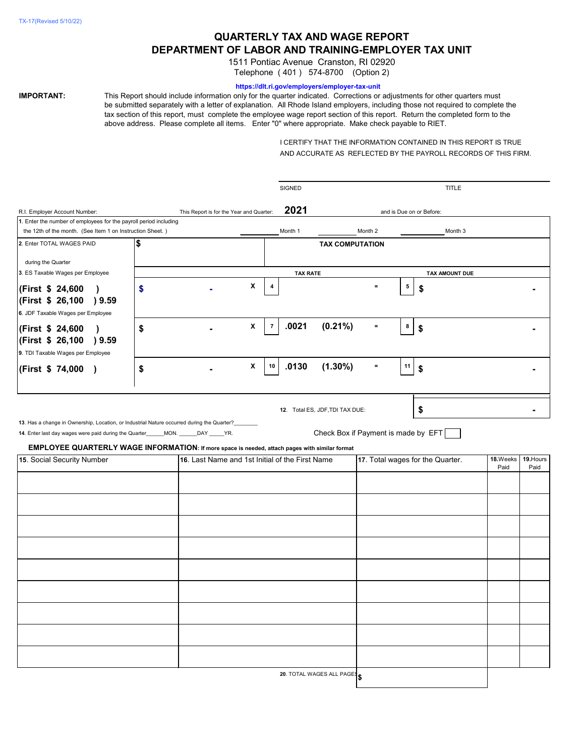# **QUARTERLY TAX AND WAGE REPORT DEPARTMENT OF LABOR AND TRAINING-EMPLOYER TAX UNIT**

1511 Pontiac Avenue Cranston, RI 02920 Telephone ( 401 ) 574-8700 (Option 2)

#### **https://dlt.ri.gov/employers/employer-tax-unit**

**IMPORTANT:** This Report should include information only for the quarter indicated. Corrections or adjustments for other quarters must be submitted separately with a letter of explanation. All Rhode Island employers, including those not required to complete the tax section of this report, must complete the employee wage report section of this report. Return the completed form to the above address. Please complete all items. Enter "0" where appropriate. Make check payable to RIET.

> I CERTIFY THAT THE INFORMATION CONTAINED IN THIS REPORT IS TRUE AND ACCURATE AS REFLECTED BY THE PAYROLL RECORDS OF THIS FIRM.

|                                                                                                                                                                                                                                                                                        |    |                                                 |                          | SIGNED          |                                                                        |          |                  | <b>TITLE</b>             |                   |  |
|----------------------------------------------------------------------------------------------------------------------------------------------------------------------------------------------------------------------------------------------------------------------------------------|----|-------------------------------------------------|--------------------------|-----------------|------------------------------------------------------------------------|----------|------------------|--------------------------|-------------------|--|
| R.I. Employer Account Number:                                                                                                                                                                                                                                                          |    | This Report is for the Year and Quarter:        |                          | 2021            |                                                                        |          |                  | and is Due on or Before: |                   |  |
| 1. Enter the number of employees for the payroll period including                                                                                                                                                                                                                      |    |                                                 |                          |                 |                                                                        |          |                  |                          |                   |  |
| the 12th of the month. (See Item 1 on Instruction Sheet.)                                                                                                                                                                                                                              |    |                                                 |                          | Month 1         |                                                                        | Month 2  |                  | Month 3                  |                   |  |
| 2. Enter TOTAL WAGES PAID                                                                                                                                                                                                                                                              | \$ |                                                 |                          |                 | <b>TAX COMPUTATION</b>                                                 |          |                  |                          |                   |  |
| during the Quarter                                                                                                                                                                                                                                                                     |    |                                                 |                          |                 |                                                                        |          |                  |                          |                   |  |
| 3. ES Taxable Wages per Employee                                                                                                                                                                                                                                                       |    |                                                 |                          | <b>TAX RATE</b> |                                                                        |          |                  | TAX AMOUNT DUE           |                   |  |
| (First \$ 24,600<br>(First \$ 26,100<br>9.59                                                                                                                                                                                                                                           | \$ |                                                 | X<br>4                   |                 |                                                                        | $=$      | $5\phantom{.0}$  | \$                       |                   |  |
| 6. JDF Taxable Wages per Employee                                                                                                                                                                                                                                                      |    |                                                 |                          |                 |                                                                        |          |                  |                          |                   |  |
| (First \$ 24,600<br>(First \$ 26,100 ) 9.59<br>9. TDI Taxable Wages per Employee                                                                                                                                                                                                       | \$ |                                                 | X<br>$\overline{7}$      | .0021           | $(0.21\%)$                                                             | $\equiv$ | $\boldsymbol{8}$ | \$                       |                   |  |
| (First \$ 74,000 )                                                                                                                                                                                                                                                                     | \$ |                                                 | $\pmb{\mathsf{X}}$<br>10 | .0130           | $(1.30\%)$                                                             | $\equiv$ | 11               | \$                       |                   |  |
| 13. Has a change in Ownership, Location, or Industrial Nature occurred during the Quarter?______<br>14. Enter last day wages were paid during the Quarter_____MON. _____DAY _____YR.<br>EMPLOYEE QUARTERLY WAGE INFORMATION: If more space is needed, attach pages with similar format |    |                                                 |                          |                 | 12. Total ES, JDF, TDI TAX DUE:<br>Check Box if Payment is made by EFT |          |                  | \$                       |                   |  |
| 15. Social Security Number                                                                                                                                                                                                                                                             |    | 16. Last Name and 1st Initial of the First Name |                          |                 | 17. Total wages for the Quarter.                                       |          |                  | 18.Weeks<br>Paid         | 19. Hours<br>Paid |  |
|                                                                                                                                                                                                                                                                                        |    |                                                 |                          |                 |                                                                        |          |                  |                          |                   |  |
|                                                                                                                                                                                                                                                                                        |    |                                                 |                          |                 |                                                                        |          |                  |                          |                   |  |
|                                                                                                                                                                                                                                                                                        |    |                                                 |                          |                 |                                                                        |          |                  |                          |                   |  |
|                                                                                                                                                                                                                                                                                        |    |                                                 |                          |                 |                                                                        |          |                  |                          |                   |  |
|                                                                                                                                                                                                                                                                                        |    |                                                 |                          |                 |                                                                        |          |                  |                          |                   |  |
|                                                                                                                                                                                                                                                                                        |    |                                                 |                          |                 |                                                                        |          |                  |                          |                   |  |
|                                                                                                                                                                                                                                                                                        |    |                                                 |                          |                 |                                                                        |          |                  |                          |                   |  |
|                                                                                                                                                                                                                                                                                        |    |                                                 |                          |                 |                                                                        |          |                  |                          |                   |  |
|                                                                                                                                                                                                                                                                                        |    |                                                 |                          |                 |                                                                        |          |                  |                          |                   |  |
|                                                                                                                                                                                                                                                                                        |    |                                                 |                          |                 | 20. TOTAL WAGES ALL PAGES                                              |          |                  |                          |                   |  |